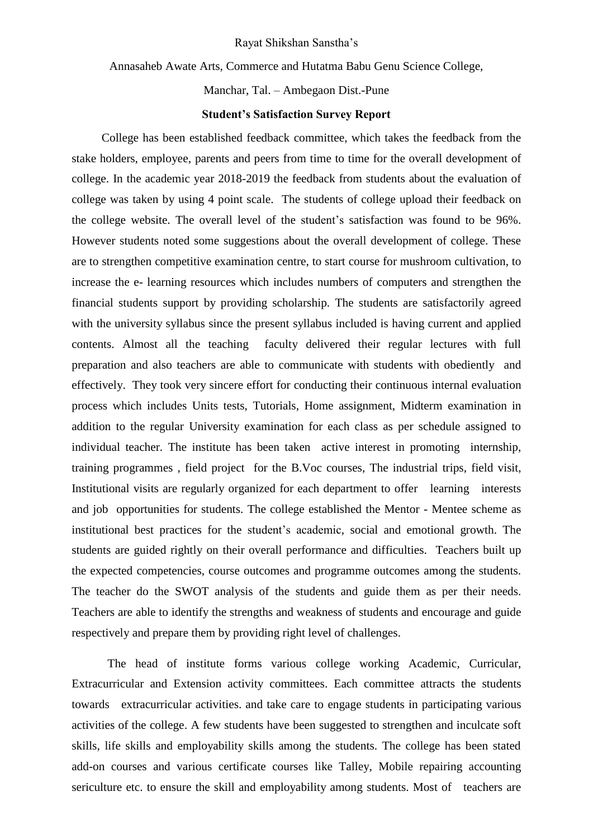#### Rayat Shikshan Sanstha's

Annasaheb Awate Arts, Commerce and Hutatma Babu Genu Science College,

Manchar, Tal. – Ambegaon Dist.-Pune

## **Student's Satisfaction Survey Report**

 College has been established feedback committee, which takes the feedback from the stake holders, employee, parents and peers from time to time for the overall development of college. In the academic year 2018-2019 the feedback from students about the evaluation of college was taken by using 4 point scale. The students of college upload their feedback on the college website. The overall level of the student's satisfaction was found to be 96%. However students noted some suggestions about the overall development of college. These are to strengthen competitive examination centre, to start course for mushroom cultivation, to increase the e- learning resources which includes numbers of computers and strengthen the financial students support by providing scholarship. The students are satisfactorily agreed with the university syllabus since the present syllabus included is having current and applied contents. Almost all the teaching faculty delivered their regular lectures with full preparation and also teachers are able to communicate with students with obediently and effectively. They took very sincere effort for conducting their continuous internal evaluation process which includes Units tests, Tutorials, Home assignment, Midterm examination in addition to the regular University examination for each class as per schedule assigned to individual teacher. The institute has been taken active interest in promoting internship, training programmes , field project for the B.Voc courses, The industrial trips, field visit, Institutional visits are regularly organized for each department to offer learning interests and job opportunities for students. The college established the Mentor - Mentee scheme as institutional best practices for the student's academic, social and emotional growth. The students are guided rightly on their overall performance and difficulties. Teachers built up the expected competencies, course outcomes and programme outcomes among the students. The teacher do the SWOT analysis of the students and guide them as per their needs. Teachers are able to identify the strengths and weakness of students and encourage and guide respectively and prepare them by providing right level of challenges.

The head of institute forms various college working Academic, Curricular, Extracurricular and Extension activity committees. Each committee attracts the students towards extracurricular activities. and take care to engage students in participating various activities of the college. A few students have been suggested to strengthen and inculcate soft skills, life skills and employability skills among the students. The college has been stated add-on courses and various certificate courses like Talley, Mobile repairing accounting sericulture etc. to ensure the skill and employability among students. Most of teachers are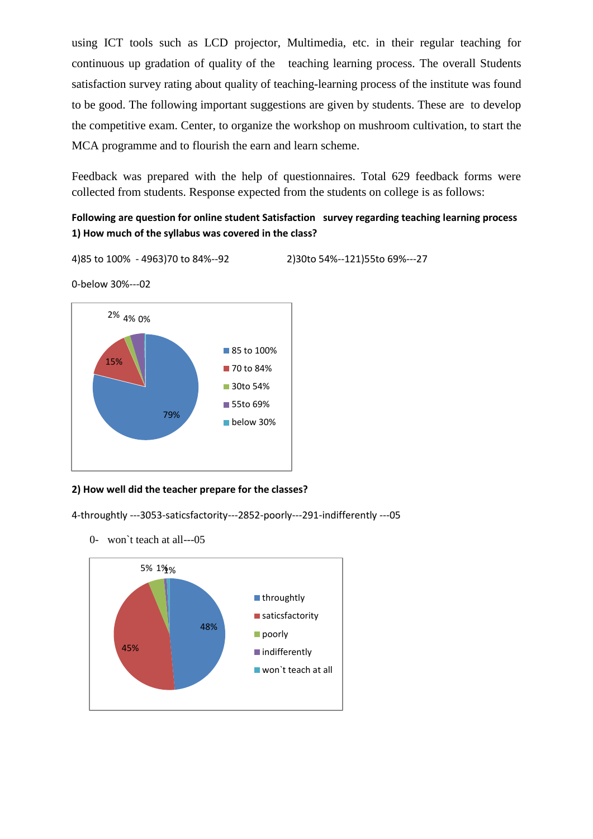using ICT tools such as LCD projector, Multimedia, etc. in their regular teaching for continuous up gradation of quality of the teaching learning process. The overall Students satisfaction survey rating about quality of teaching-learning process of the institute was found to be good. The following important suggestions are given by students. These are to develop the competitive exam. Center, to organize the workshop on mushroom cultivation, to start the MCA programme and to flourish the earn and learn scheme.

Feedback was prepared with the help of questionnaires. Total 629 feedback forms were collected from students. Response expected from the students on college is as follows:

# **Following are question for online student Satisfaction survey regarding teaching learning process 1) How much of the syllabus was covered in the class?**

4)85 to 100% - 4963)70 to 84%--92 2)30to 54%--121)55to 69%---27

0-below 30%---02



## **2) How well did the teacher prepare for the classes?**

4-throughtly ---3053-saticsfactority---2852-poorly---291-indifferently ---05

0- won`t teach at all---05

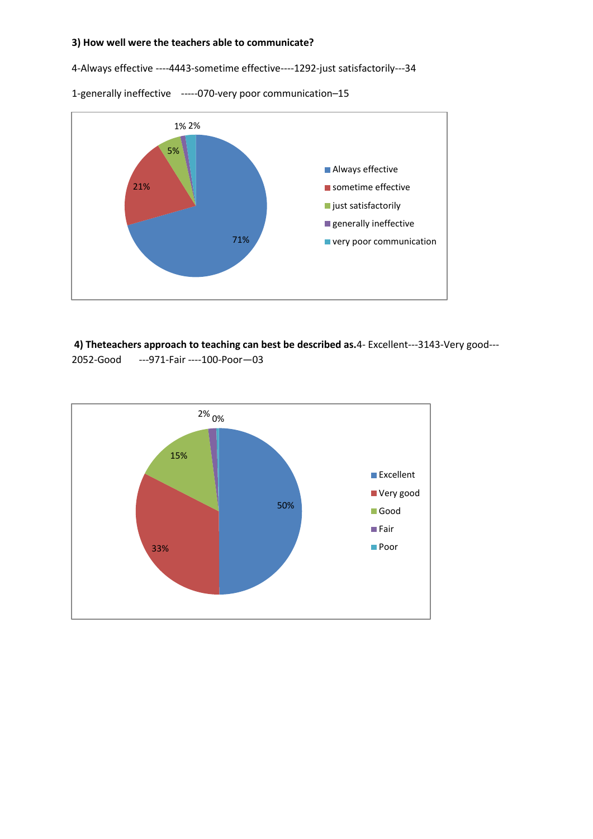#### **3) How well were the teachers able to communicate?**

4-Always effective ----4443-sometime effective----1292-just satisfactorily---34

1-generally ineffective -----070-very poor communication–15



**4) Theteachers approach to teaching can best be described as.**4- Excellent---3143-Very good--- 2052-Good ---971-Fair ----100-Poor—03

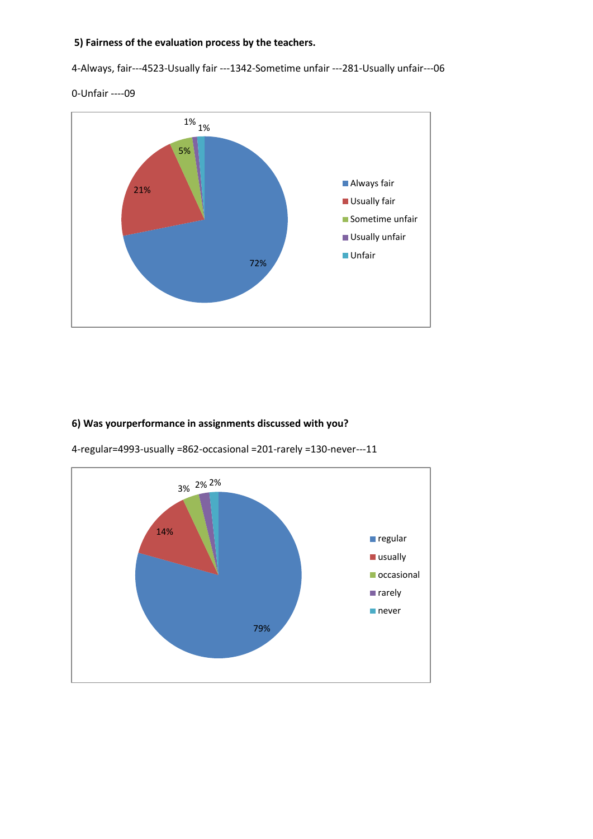### **5) Fairness of the evaluation process by the teachers.**

4-Always, fair---4523-Usually fair ---1342-Sometime unfair ---281-Usually unfair---06





# **6) Was yourperformance in assignments discussed with you?**



4-regular=4993-usually =862-occasional =201-rarely =130-never---11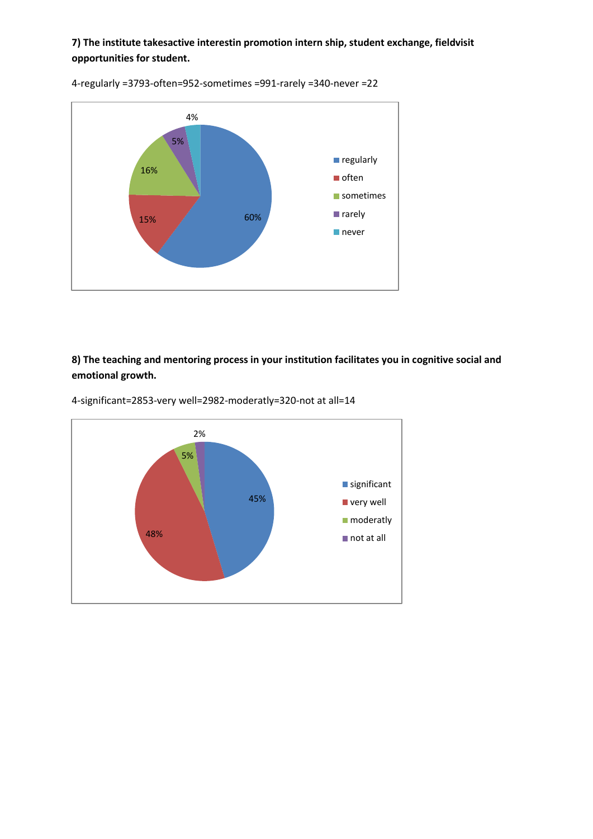**7) The institute takesactive interestin promotion intern ship, student exchange, fieldvisit opportunities for student.** 



4-regularly =3793-often=952-sometimes =991-rarely =340-never =22

**8) The teaching and mentoring process in your institution facilitates you in cognitive social and emotional growth.** 



4-significant=2853-very well=2982-moderatly=320-not at all=14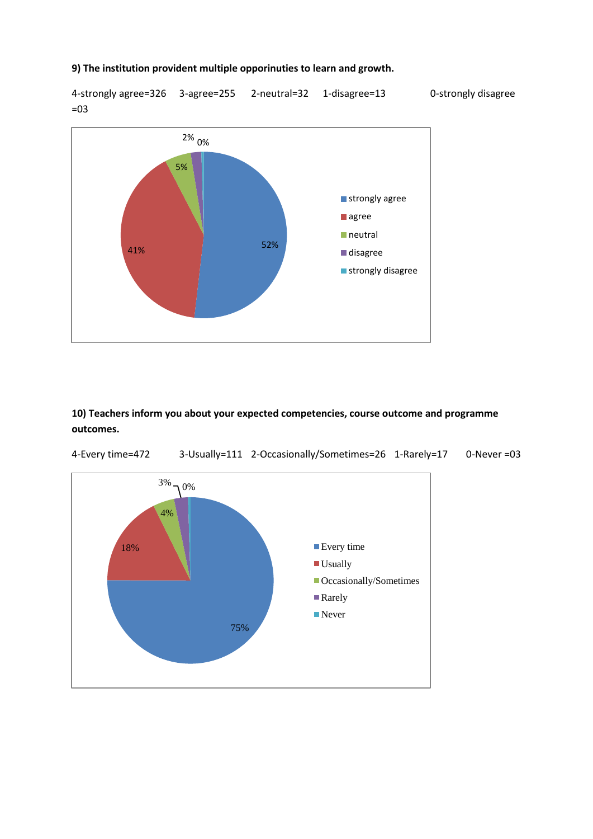#### **9) The institution provident multiple opporinuties to learn and growth.**

4-strongly agree=326 3-agree=255 2-neutral=32 1-disagree=13 0-strongly disagree =03



**10) Teachers inform you about your expected competencies, course outcome and programme outcomes.**



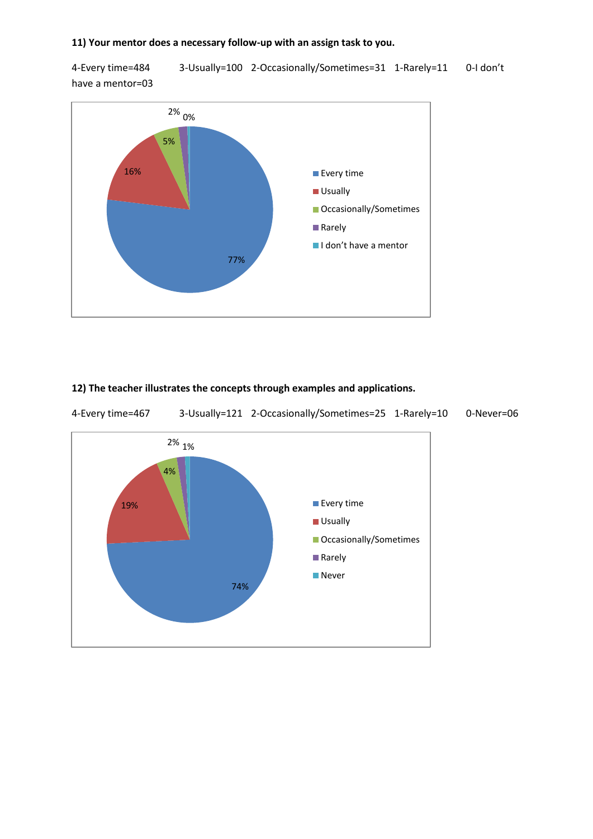#### **11) Your mentor does a necessary follow-up with an assign task to you.**

4-Every time=484 3-Usually=100 2-Occasionally/Sometimes=31 1-Rarely=11 0-I don't have a mentor=03



### **12) The teacher illustrates the concepts through examples and applications.**

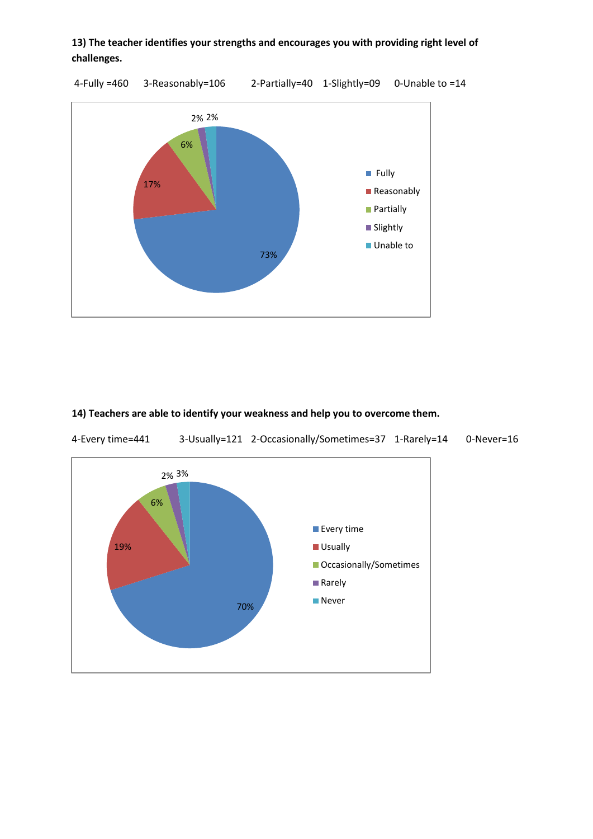# **13) The teacher identifies your strengths and encourages you with providing right level of challenges.**

4-Fully =460 3-Reasonably=106 2-Partially=40 1-Slightly=09 0-Unable to =14



# **14) Teachers are able to identify your weakness and help you to overcome them.**

4-Every time=441 3-Usually=121 2-Occasionally/Sometimes=37 1-Rarely=14 0-Never=16

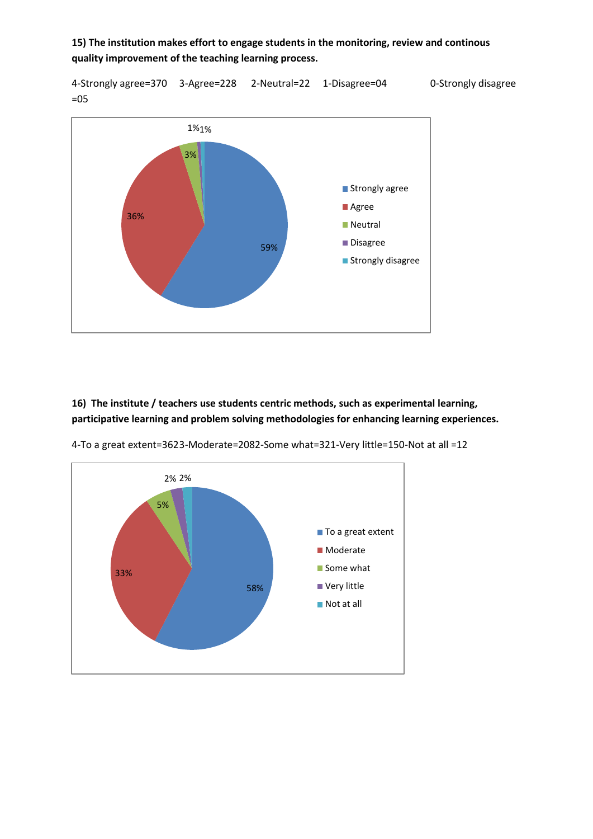**15) The institution makes effort to engage students in the monitoring, review and continous quality improvement of the teaching learning process.** 

4-Strongly agree=370 3-Agree=228 2-Neutral=22 1-Disagree=04 0-Strongly disagree =05



**16) The institute / teachers use students centric methods, such as experimental learning, participative learning and problem solving methodologies for enhancing learning experiences.**



4-To a great extent=3623-Moderate=2082-Some what=321-Very little=150-Not at all =12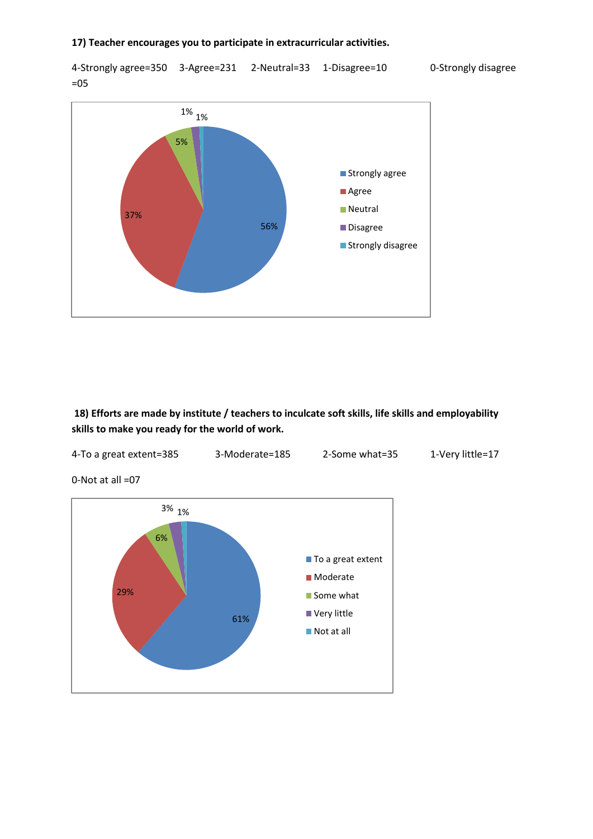4-Strongly agree=350 3-Agree=231 2-Neutral=33 1-Disagree=10 0-Strongly disagree =05



**18) Efforts are made by institute / teachers to inculcate soft skills, life skills and employability skills to make you ready for the world of work.**



0-Not at all =07